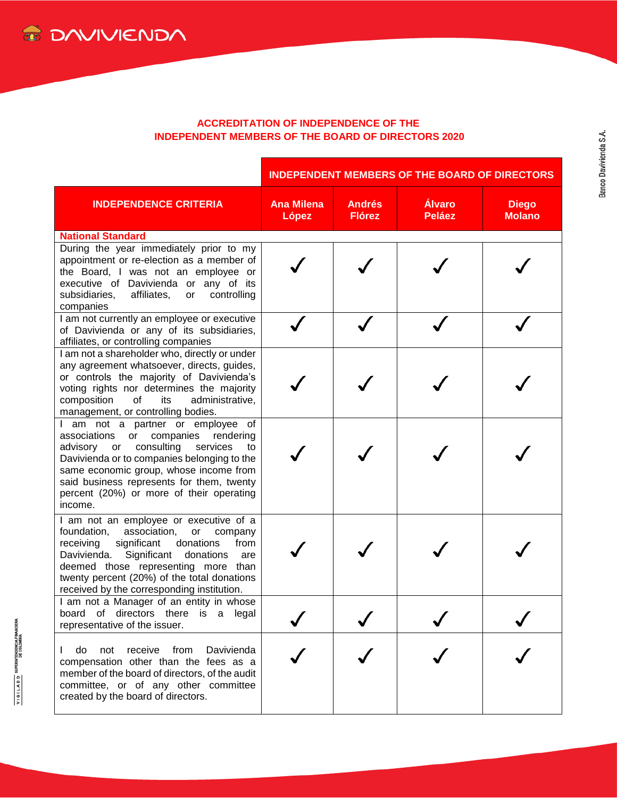## **ACCREDITATION OF INDEPENDENCE OF THE INDEPENDENT MEMBERS OF THE BOARD OF DIRECTORS 2020**

|                                                                                                                                                                                                                                                                                                                               | <b>INDEPENDENT MEMBERS OF THE BOARD OF DIRECTORS</b> |                                |                         |                               |  |
|-------------------------------------------------------------------------------------------------------------------------------------------------------------------------------------------------------------------------------------------------------------------------------------------------------------------------------|------------------------------------------------------|--------------------------------|-------------------------|-------------------------------|--|
| <b>INDEPENDENCE CRITERIA</b>                                                                                                                                                                                                                                                                                                  | <b>Ana Milena</b><br>López                           | <b>Andrés</b><br><b>Flórez</b> | Álvaro<br><b>Peláez</b> | <b>Diego</b><br><b>Molano</b> |  |
| <b>National Standard</b>                                                                                                                                                                                                                                                                                                      |                                                      |                                |                         |                               |  |
| During the year immediately prior to my<br>appointment or re-election as a member of<br>the Board, I was not an employee or<br>executive of Davivienda or any of its<br>affiliates,<br>subsidiaries,<br>controlling<br>or<br>companies                                                                                        |                                                      |                                |                         |                               |  |
| I am not currently an employee or executive<br>of Davivienda or any of its subsidiaries,<br>affiliates, or controlling companies                                                                                                                                                                                              |                                                      |                                |                         |                               |  |
| I am not a shareholder who, directly or under<br>any agreement whatsoever, directs, guides,<br>or controls the majority of Davivienda's<br>voting rights nor determines the majority<br>composition<br>of<br>administrative,<br>its<br>management, or controlling bodies.                                                     |                                                      |                                |                         |                               |  |
| I am not a partner or employee of<br>companies rendering<br>associations<br>or<br>consulting<br>services<br>advisory<br>to<br>or<br>Davivienda or to companies belonging to the<br>same economic group, whose income from<br>said business represents for them, twenty<br>percent (20%) or more of their operating<br>income. |                                                      |                                |                         |                               |  |
| I am not an employee or executive of a<br>foundation,<br>association,<br>or<br>company<br>significant<br>donations<br>receiving<br>from<br>Significant donations<br>Davivienda.<br>are<br>deemed those representing more than<br>twenty percent (20%) of the total donations<br>received by the corresponding institution.    |                                                      |                                |                         |                               |  |
| I am not a Manager of an entity in whose<br>board of directors there is a<br>legal<br>representative of the issuer.                                                                                                                                                                                                           |                                                      |                                |                         |                               |  |
| do<br>receive<br>from<br>Davivienda<br>not<br>compensation other than the fees as a<br>member of the board of directors, of the audit<br>committee, or of any other committee<br>created by the board of directors.                                                                                                           |                                                      |                                |                         |                               |  |